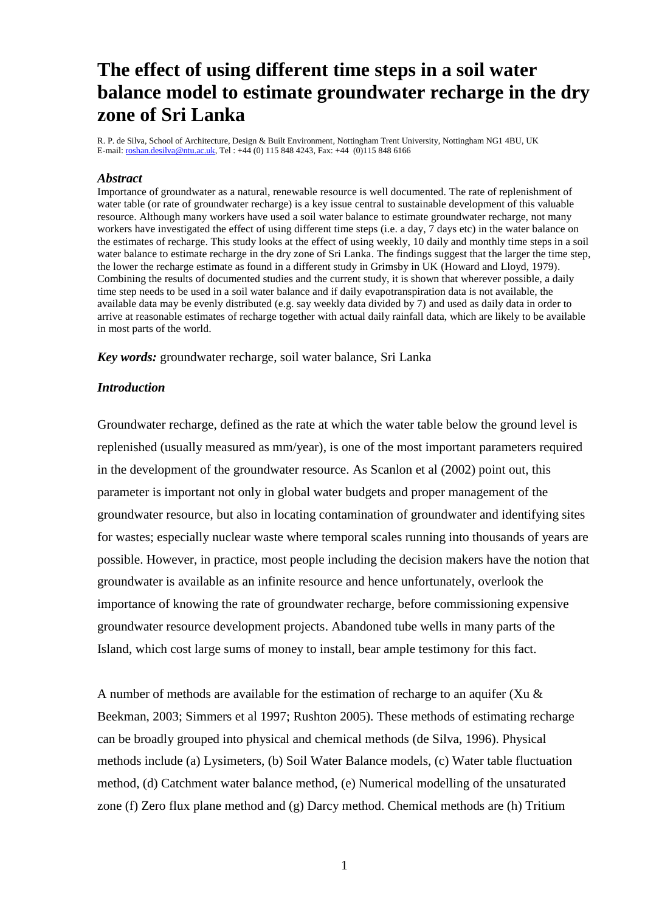# **The effect of using different time steps in a soil water balance model to estimate groundwater recharge in the dry zone of Sri Lanka**

R. P. de Silva, School of Architecture, Design & Built Environment, Nottingham Trent University, Nottingham NG1 4BU, UK E-mail: <u>roshan.desilva@ntu.ac.uk</u>, Tel : +44 (0) 115 848 4243, Fax: +44 (0)115 848 6166

#### *Abstract*

Importance of groundwater as a natural, renewable resource is well documented. The rate of replenishment of water table (or rate of groundwater recharge) is a key issue central to sustainable development of this valuable resource. Although many workers have used a soil water balance to estimate groundwater recharge, not many workers have investigated the effect of using different time steps (i.e. a day, 7 days etc) in the water balance on the estimates of recharge. This study looks at the effect of using weekly, 10 daily and monthly time steps in a soil water balance to estimate recharge in the dry zone of Sri Lanka. The findings suggest that the larger the time step, the lower the recharge estimate as found in a different study in Grimsby in UK (Howard and Lloyd, 1979). Combining the results of documented studies and the current study, it is shown that wherever possible, a daily time step needs to be used in a soil water balance and if daily evapotranspiration data is not available, the available data may be evenly distributed (e.g. say weekly data divided by 7) and used as daily data in order to arrive at reasonable estimates of recharge together with actual daily rainfall data, which are likely to be available in most parts of the world.

*Key words:* groundwater recharge, soil water balance, Sri Lanka

#### *Introduction*

Groundwater recharge, defined as the rate at which the water table below the ground level is replenished (usually measured as mm/year), is one of the most important parameters required in the development of the groundwater resource. As Scanlon et al (2002) point out, this parameter is important not only in global water budgets and proper management of the groundwater resource, but also in locating contamination of groundwater and identifying sites for wastes; especially nuclear waste where temporal scales running into thousands of years are possible. However, in practice, most people including the decision makers have the notion that groundwater is available as an infinite resource and hence unfortunately, overlook the importance of knowing the rate of groundwater recharge, before commissioning expensive groundwater resource development projects. Abandoned tube wells in many parts of the Island, which cost large sums of money to install, bear ample testimony for this fact.

A number of methods are available for the estimation of recharge to an aquifer (Xu & Beekman, 2003; Simmers et al 1997; Rushton 2005). These methods of estimating recharge can be broadly grouped into physical and chemical methods (de Silva, 1996). Physical methods include (a) Lysimeters, (b) Soil Water Balance models, (c) Water table fluctuation method, (d) Catchment water balance method, (e) Numerical modelling of the unsaturated zone (f) Zero flux plane method and (g) Darcy method. Chemical methods are (h) Tritium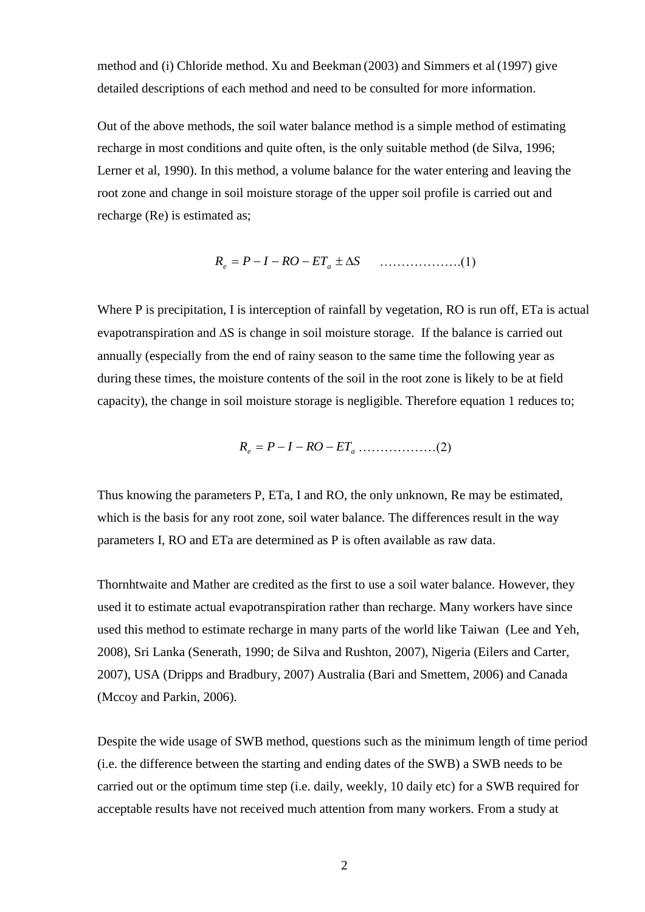method and (i) Chloride method. Xu and Beekman (2003) and Simmers et al (1997) give detailed descriptions of each method and need to be consulted for more information.

Out of the above methods, the soil water balance method is a simple method of estimating recharge in most conditions and quite often, is the only suitable method (de Silva, 1996; Lerner et al, 1990). In this method, a volume balance for the water entering and leaving the root zone and change in soil moisture storage of the upper soil profile is carried out and recharge (Re) is estimated as;

$$
R_e = P - I - RO - ET_a \pm \Delta S \qquad \qquad (1)
$$

Where P is precipitation, I is interception of rainfall by vegetation, RO is run off, ETa is actual evapotranspiration and  $\Delta S$  is change in soil moisture storage. If the balance is carried out annually (especially from the end of rainy season to the same time the following year as during these times, the moisture contents of the soil in the root zone is likely to be at field capacity), the change in soil moisture storage is negligible. Therefore equation 1 reduces to;

*<sup>e</sup> RO ET<sup>a</sup> R P I* ………………(2)

Thus knowing the parameters P, ETa, I and RO, the only unknown, Re may be estimated, which is the basis for any root zone, soil water balance. The differences result in the way parameters I, RO and ETa are determined as P is often available as raw data.

Thornhtwaite and Mather are credited as the first to use a soil water balance. However, they used it to estimate actual evapotranspiration rather than recharge. Many workers have since used this method to estimate recharge in many parts of the world like Taiwan (Lee and Yeh, 2008), Sri Lanka (Senerath, 1990; de Silva and Rushton, 2007), Nigeria (Eilers and Carter, 2007), USA (Dripps and Bradbury, 2007) Australia (Bari and Smettem, 2006) and Canada (Mccoy and Parkin, 2006).

Despite the wide usage of SWB method, questions such as the minimum length of time period (i.e. the difference between the starting and ending dates of the SWB) a SWB needs to be carried out or the optimum time step (i.e. daily, weekly, 10 daily etc) for a SWB required for acceptable results have not received much attention from many workers. From a study at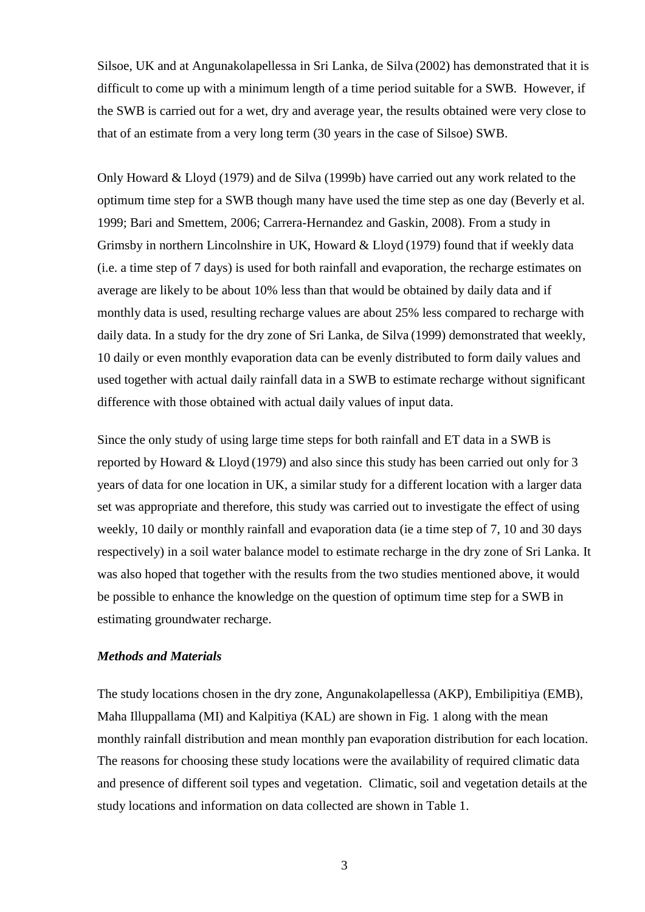Silsoe, UK and at Angunakolapellessa in Sri Lanka, de Silva (2002) has demonstrated that it is difficult to come up with a minimum length of a time period suitable for a SWB. However, if the SWB is carried out for a wet, dry and average year, the results obtained were very close to that of an estimate from a very long term (30 years in the case of Silsoe) SWB.

Only Howard & Lloyd (1979) and de Silva (1999b) have carried out any work related to the optimum time step for a SWB though many have used the time step as one day (Beverly et al. 1999; Bari and Smettem, 2006; Carrera-Hernandez and Gaskin, 2008). From a study in Grimsby in northern Lincolnshire in UK, Howard & Lloyd (1979) found that if weekly data (i.e. a time step of 7 days) is used for both rainfall and evaporation, the recharge estimates on average are likely to be about 10% less than that would be obtained by daily data and if monthly data is used, resulting recharge values are about 25% less compared to recharge with daily data. In a study for the dry zone of Sri Lanka, de Silva (1999) demonstrated that weekly, 10 daily or even monthly evaporation data can be evenly distributed to form daily values and used together with actual daily rainfall data in a SWB to estimate recharge without significant difference with those obtained with actual daily values of input data.

Since the only study of using large time steps for both rainfall and ET data in a SWB is reported by Howard & Lloyd (1979) and also since this study has been carried out only for 3 years of data for one location in UK, a similar study for a different location with a larger data set was appropriate and therefore, this study was carried out to investigate the effect of using weekly, 10 daily or monthly rainfall and evaporation data (ie a time step of 7, 10 and 30 days respectively) in a soil water balance model to estimate recharge in the dry zone of Sri Lanka. It was also hoped that together with the results from the two studies mentioned above, it would be possible to enhance the knowledge on the question of optimum time step for a SWB in estimating groundwater recharge.

## *Methods and Materials*

The study locations chosen in the dry zone, Angunakolapellessa (AKP), Embilipitiya (EMB), Maha Illuppallama (MI) and Kalpitiya (KAL) are shown in Fig. 1 along with the mean monthly rainfall distribution and mean monthly pan evaporation distribution for each location. The reasons for choosing these study locations were the availability of required climatic data and presence of different soil types and vegetation. Climatic, soil and vegetation details at the study locations and information on data collected are shown in Table 1.

3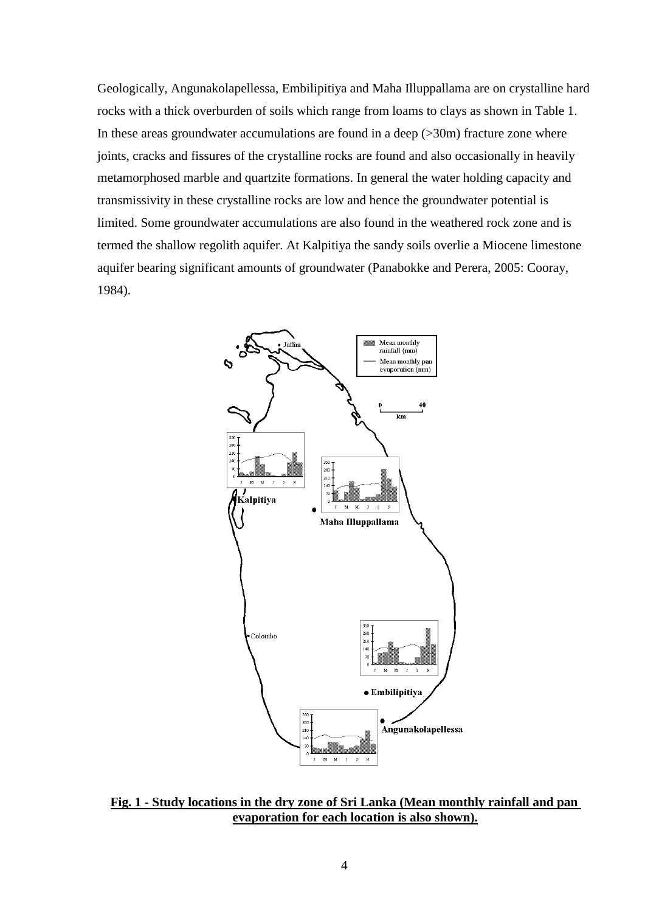Geologically, Angunakolapellessa, Embilipitiya and Maha Illuppallama are on crystalline hard rocks with a thick overburden of soils which range from loams to clays as shown in Table 1. In these areas groundwater accumulations are found in a deep  $(>\frac{30m}{20m})$  fracture zone where joints, cracks and fissures of the crystalline rocks are found and also occasionally in heavily metamorphosed marble and quartzite formations. In general the water holding capacity and transmissivity in these crystalline rocks are low and hence the groundwater potential is limited. Some groundwater accumulations are also found in the weathered rock zone and is termed the shallow regolith aquifer. At Kalpitiya the sandy soils overlie a Miocene limestone aquifer bearing significant amounts of groundwater (Panabokke and Perera, 2005: Cooray, 1984).



**Fig. 1 - Study locations in the dry zone of Sri Lanka (Mean monthly rainfall and pan evaporation for each location is also shown).**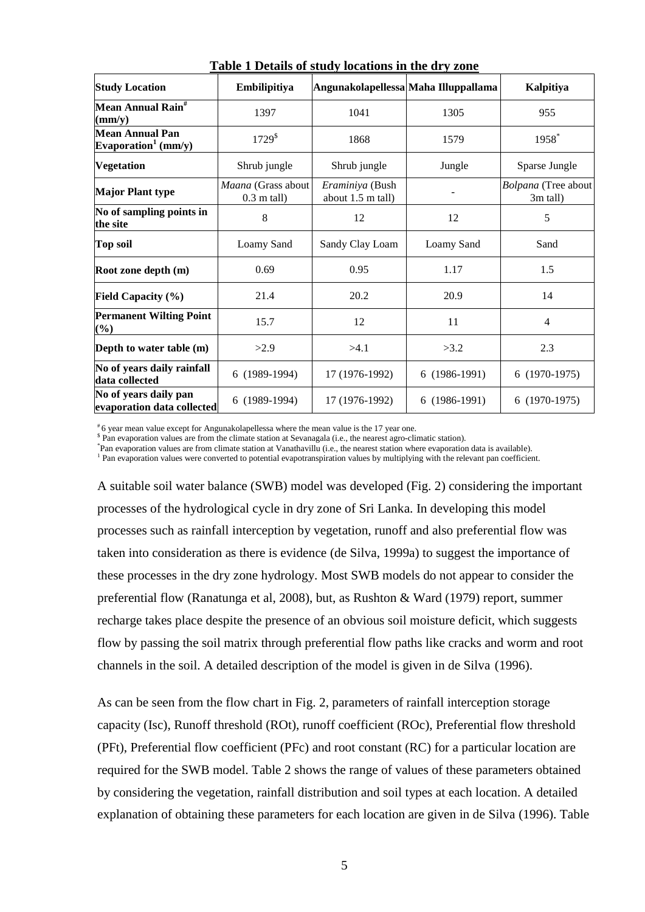|                                                           |                                     | rabic I Detans or staay locations in the ary zone |                                      |                                 |
|-----------------------------------------------------------|-------------------------------------|---------------------------------------------------|--------------------------------------|---------------------------------|
| <b>Study Location</b>                                     | Embilipitiya                        |                                                   | Angunakolapellessa Maha Illuppallama | Kalpitiya                       |
| Mean Annual Rain <sup>#</sup><br>$\textbf{(mm/v)}$        | 1397                                | 1041                                              | 1305                                 | 955                             |
| <b>Mean Annual Pan</b><br>Evaporation <sup>1</sup> (mm/y) | $1729^{\$}$                         | 1868                                              | 1579                                 | 1958*                           |
| <b>Vegetation</b>                                         | Shrub jungle                        | Shrub jungle                                      | Jungle                               | Sparse Jungle                   |
| <b>Major Plant type</b>                                   | Maana (Grass about<br>$0.3$ m tall) | Eraminiya (Bush<br>about 1.5 m tall)              |                                      | Bolpana (Tree about<br>3m tall) |
| No of sampling points in<br>the site                      | 8                                   | 12                                                | 12                                   | 5                               |
| <b>Top soil</b>                                           | Loamy Sand                          | Sandy Clay Loam                                   | Loamy Sand                           | Sand                            |
| Root zone depth (m)                                       | 0.69                                | 0.95                                              | 1.17                                 | 1.5                             |
| <b>Field Capacity</b> $(\%)$                              | 21.4                                | 20.2                                              | 20.9                                 | 14                              |
| <b>Permanent Wilting Point</b><br>$(\%)$                  | 15.7                                | 12                                                | 11                                   | 4                               |
| Depth to water table (m)                                  | >2.9                                | >4.1                                              | >3.2                                 | 2.3                             |
| No of years daily rainfall<br>data collected              | 6 (1989-1994)                       | 17 (1976-1992)                                    | 6 (1986-1991)                        | 6 (1970-1975)                   |
| No of years daily pan<br>evaporation data collected       | $(1989-1994)$<br>6                  | 17 (1976-1992)                                    | 6 (1986-1991)                        | 6 (1970-1975)                   |

**Table 1 Details of study locations in the dry zone**

# 6 year mean value except for Angunakolapellessa where the mean value is the 17 year one.

<sup>5</sup> Pan evaporation values are from the climate station at Sevanagala (i.e., the nearest agro-climatic station).

\* Pan evaporation values are from climate station at Vanathavillu (i.e., the nearest station where evaporation data is available).

<sup>1</sup> Pan evaporation values were converted to potential evapotranspiration values by multiplying with the relevant pan coefficient.

A suitable soil water balance (SWB) model was developed (Fig. 2) considering the important processes of the hydrological cycle in dry zone of Sri Lanka. In developing this model processes such as rainfall interception by vegetation, runoff and also preferential flow was taken into consideration as there is evidence (de Silva, 1999a) to suggest the importance of these processes in the dry zone hydrology. Most SWB models do not appear to consider the preferential flow (Ranatunga et al, 2008), but, as Rushton & Ward (1979) report, summer recharge takes place despite the presence of an obvious soil moisture deficit, which suggests flow by passing the soil matrix through preferential flow paths like cracks and worm and root channels in the soil. A detailed description of the model is given in de Silva (1996).

As can be seen from the flow chart in Fig. 2, parameters of rainfall interception storage capacity (Isc), Runoff threshold (ROt), runoff coefficient (ROc), Preferential flow threshold (PFt), Preferential flow coefficient (PFc) and root constant (RC) for a particular location are required for the SWB model. Table 2 shows the range of values of these parameters obtained by considering the vegetation, rainfall distribution and soil types at each location. A detailed explanation of obtaining these parameters for each location are given in de Silva (1996). Table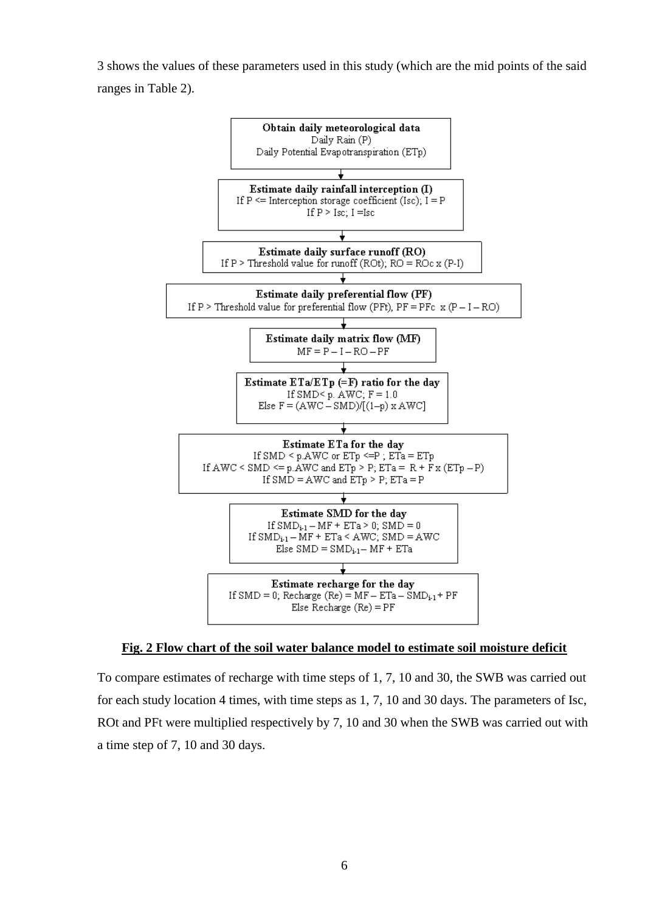3 shows the values of these parameters used in this study (which are the mid points of the said ranges in Table 2).



## **Fig. 2 Flow chart of the soil water balance model to estimate soil moisture deficit**

To compare estimates of recharge with time steps of 1, 7, 10 and 30, the SWB was carried out for each study location 4 times, with time steps as 1, 7, 10 and 30 days. The parameters of Isc, ROt and PFt were multiplied respectively by 7, 10 and 30 when the SWB was carried out with a time step of 7, 10 and 30 days.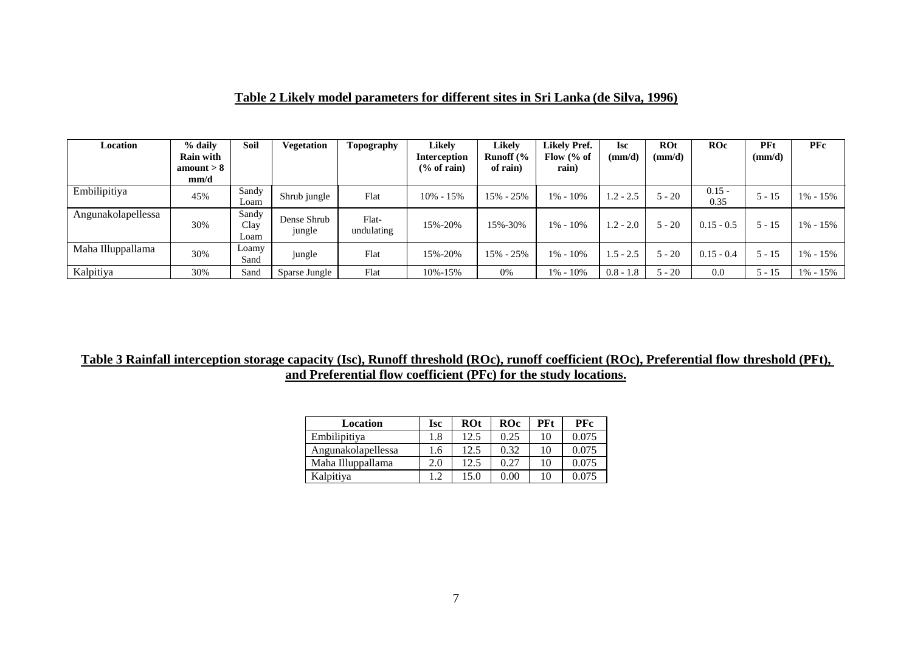# **Table 2 Likely model parameters for different sites in Sri Lanka (de Silva, 1996)**

| Location           | % daily<br><b>Rain with</b><br>amount $> 8$<br>mm/d | Soil                  | Vegetation            | Topography          | <b>Likely</b><br><b>Interception</b><br>$\frac{6}{6}$ of rain) | <b>Likely</b><br>Runoff $\frac{6}{6}$<br>of rain) | <b>Likely Pref.</b><br>Flow $\frac{6}{6}$ of<br>rain) | <b>Isc</b><br>(mm/d) | <b>ROt</b><br>(mm/d) | ROc              | PFt<br>(mm/d) | <b>PFc</b>   |
|--------------------|-----------------------------------------------------|-----------------------|-----------------------|---------------------|----------------------------------------------------------------|---------------------------------------------------|-------------------------------------------------------|----------------------|----------------------|------------------|---------------|--------------|
| Embilipitiya       | 45%                                                 | Sandy<br>Loam         | Shrub jungle          | Flat                | $10\% - 15\%$                                                  | 15% - 25%                                         | $1\% - 10\%$                                          | $1.2 - 2.5$          | $5 - 20$             | $0.15 -$<br>0.35 | $5 - 15$      | $1\% - 15\%$ |
| Angunakolapellessa | 30%                                                 | Sandy<br>Clay<br>Loam | Dense Shrub<br>jungle | Flat-<br>undulating | 15%-20%                                                        | 15%-30%                                           | $1\% - 10\%$                                          | $1.2 - 2.0$          | $5 - 20$             | $0.15 - 0.5$     | $5 - 15$      | $1\% - 15\%$ |
| Maha Illuppallama  | 30%                                                 | Loamy<br>Sand         | jungle                | Flat                | 15%-20%                                                        | 15% - 25%                                         | $1\% - 10\%$                                          | $1.5 - 2.5$          | $5 - 20$             | $0.15 - 0.4$     | $5 - 15$      | $1\% - 15\%$ |
| Kalpitiya          | 30%                                                 | Sand                  | Sparse Jungle         | Flat                | 10%-15%                                                        | 0%                                                | 1% - 10%                                              | $0.8 - 1.8$          | $5 - 20$             | 0.0              | 5 - 15        | $1\% - 15\%$ |

# **Table 3 Rainfall interception storage capacity (Isc), Runoff threshold (ROc), runoff coefficient (ROc), Preferential flow threshold (PFt), and Preferential flow coefficient (PFc) for the study locations.**

| Location           | <b>Isc</b> | <b>ROt</b> | ROc  | <b>PFt</b> | <b>PFc</b> |
|--------------------|------------|------------|------|------------|------------|
| Embilipitiya       | 1.8        | 12.5       | 0.25 | 10         | 0.075      |
| Angunakolapellessa | 1.6        | 12.5       | 0.32 | 10         | 0.075      |
| Maha Illuppallama  | 2.0        | 12.5       | 0.27 | 10         | 0.075      |
| Kalpitiya          | 1.2        | 15.0       | 0.00 | 10         | 0.075      |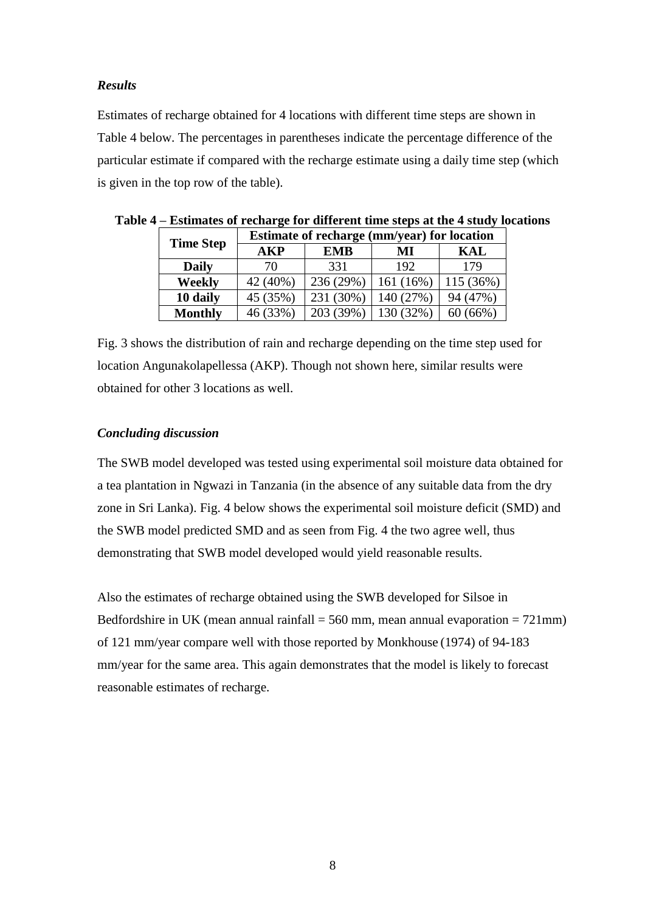## *Results*

Estimates of recharge obtained for 4 locations with different time steps are shown in Table 4 below. The percentages in parentheses indicate the percentage difference of the particular estimate if compared with the recharge estimate using a daily time step (which is given in the top row of the table).

|                  | <b>Estimate of recharge (mm/year) for location</b> |            |              |           |  |  |
|------------------|----------------------------------------------------|------------|--------------|-----------|--|--|
| <b>Time Step</b> | AKP                                                | <b>EMB</b> | МI           | KAL       |  |  |
| <b>Daily</b>     | 70                                                 | 331        | 192          | 179       |  |  |
| Weekly           | 42 (40%)                                           | 236 (29%)  | 161 $(16\%)$ | 115 (36%) |  |  |
| 10 daily         | 45 (35%)                                           | 231 (30%)  | 140 (27%)    | 94 (47%)  |  |  |
| <b>Monthly</b>   | 46 (33%)                                           | 203 (39%)  | 130 (32%)    | 60(66%)   |  |  |

|  | Table 4 – Estimates of recharge for different time steps at the 4 study locations |  |
|--|-----------------------------------------------------------------------------------|--|
|  |                                                                                   |  |

Fig. 3 shows the distribution of rain and recharge depending on the time step used for location Angunakolapellessa (AKP). Though not shown here, similar results were obtained for other 3 locations as well.

# *Concluding discussion*

The SWB model developed was tested using experimental soil moisture data obtained for a tea plantation in Ngwazi in Tanzania (in the absence of any suitable data from the dry zone in Sri Lanka). Fig. 4 below shows the experimental soil moisture deficit (SMD) and the SWB model predicted SMD and as seen from Fig. 4 the two agree well, thus demonstrating that SWB model developed would yield reasonable results.

Also the estimates of recharge obtained using the SWB developed for Silsoe in Bedfordshire in UK (mean annual rainfall  $= 560$  mm, mean annual evaporation  $= 721$ mm) of 121 mm/year compare well with those reported by Monkhouse (1974) of 94-183 mm/year for the same area. This again demonstrates that the model is likely to forecast reasonable estimates of recharge.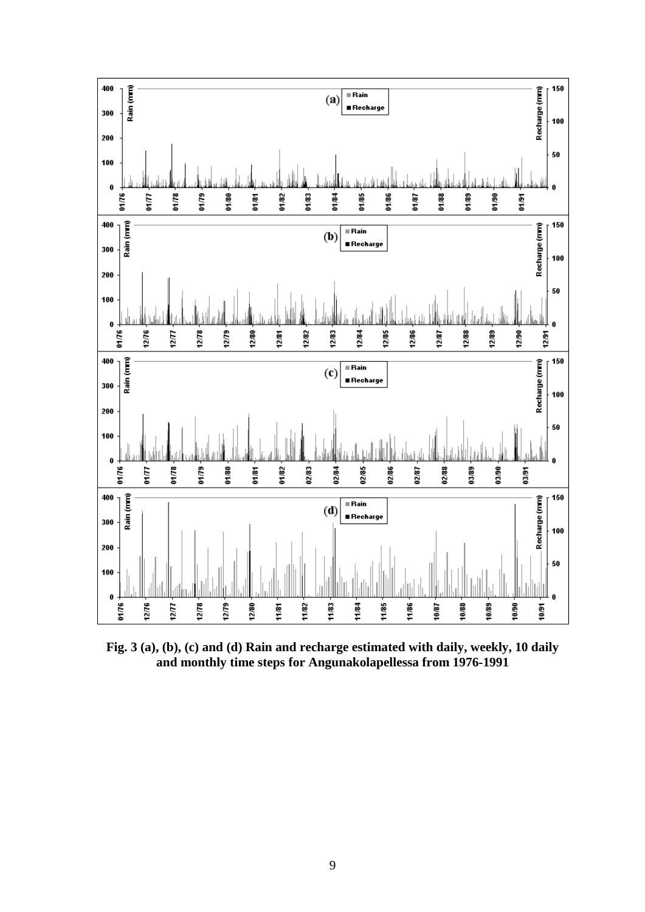

**Fig. 3 (a), (b), (c) and (d) Rain and recharge estimated with daily, weekly, 10 daily and monthly time steps for Angunakolapellessa from 1976-1991**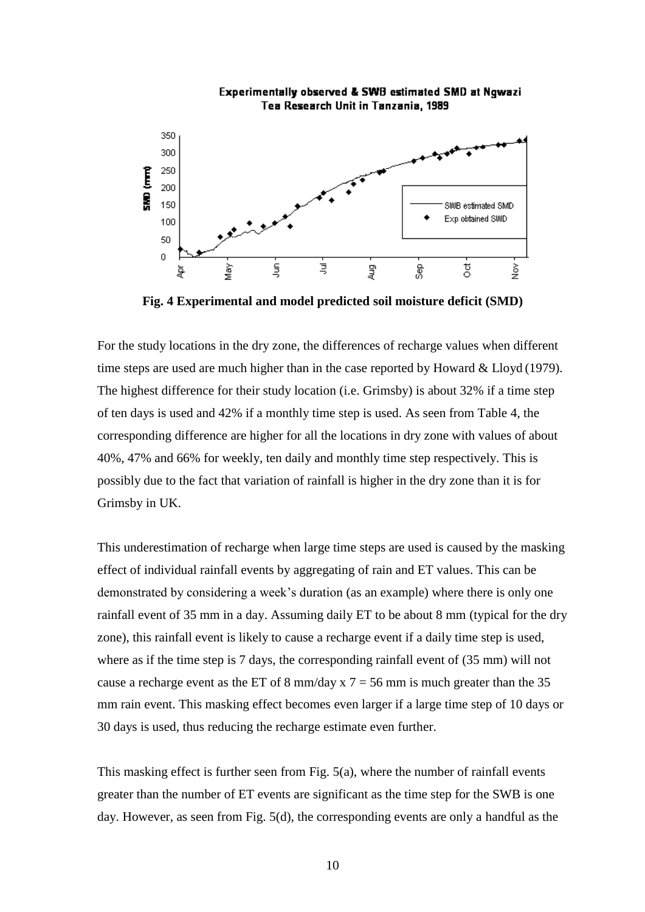

Experimentally observed & SWB estimated SMD at Ngwazi Tea Research Unit in Tanzania, 1989

**Fig. 4 Experimental and model predicted soil moisture deficit (SMD)**

For the study locations in the dry zone, the differences of recharge values when different time steps are used are much higher than in the case reported by Howard & Lloyd (1979). The highest difference for their study location (i.e. Grimsby) is about 32% if a time step of ten days is used and 42% if a monthly time step is used. As seen from Table 4, the corresponding difference are higher for all the locations in dry zone with values of about 40%, 47% and 66% for weekly, ten daily and monthly time step respectively. This is possibly due to the fact that variation of rainfall is higher in the dry zone than it is for Grimsby in UK.

This underestimation of recharge when large time steps are used is caused by the masking effect of individual rainfall events by aggregating of rain and ET values. This can be demonstrated by considering a week's duration (as an example) where there is only one rainfall event of 35 mm in a day. Assuming daily ET to be about 8 mm (typical for the dry zone), this rainfall event is likely to cause a recharge event if a daily time step is used, where as if the time step is 7 days, the corresponding rainfall event of (35 mm) will not cause a recharge event as the ET of 8 mm/day x  $7 = 56$  mm is much greater than the 35 mm rain event. This masking effect becomes even larger if a large time step of 10 days or 30 days is used, thus reducing the recharge estimate even further.

This masking effect is further seen from Fig. 5(a), where the number of rainfall events greater than the number of ET events are significant as the time step for the SWB is one day. However, as seen from Fig. 5(d), the corresponding events are only a handful as the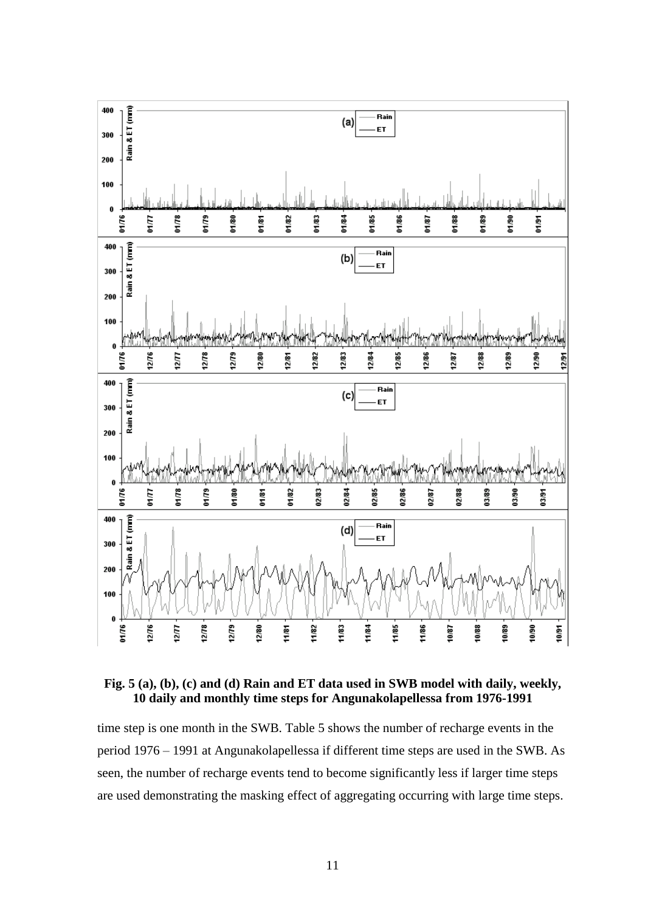

**Fig. 5 (a), (b), (c) and (d) Rain and ET data used in SWB model with daily, weekly, 10 daily and monthly time steps for Angunakolapellessa from 1976-1991**

time step is one month in the SWB. Table 5 shows the number of recharge events in the period 1976 – 1991 at Angunakolapellessa if different time steps are used in the SWB. As seen, the number of recharge events tend to become significantly less if larger time steps are used demonstrating the masking effect of aggregating occurring with large time steps.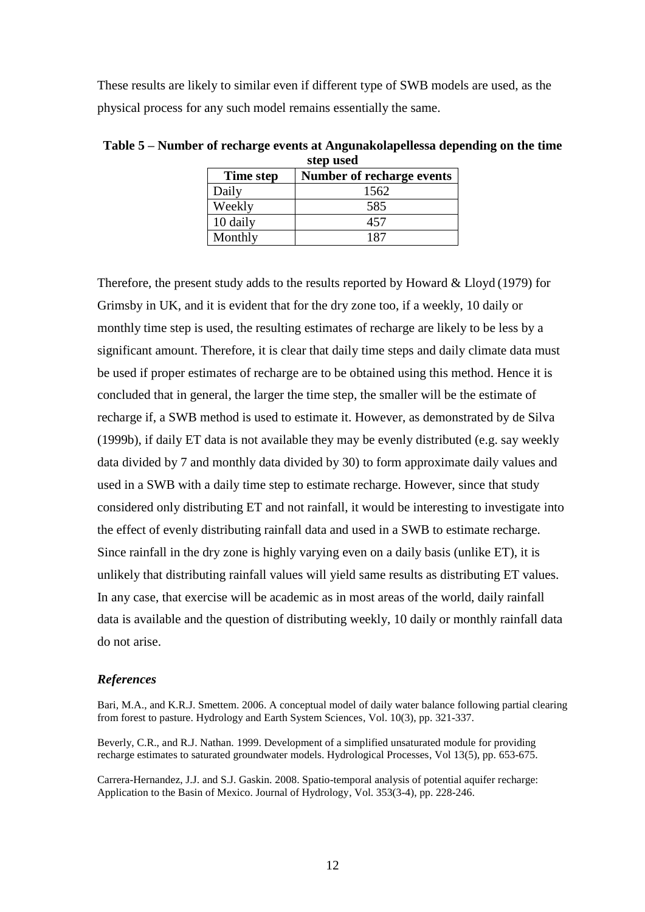These results are likely to similar even if different type of SWB models are used, as the physical process for any such model remains essentially the same.

| step used |                           |  |  |  |
|-----------|---------------------------|--|--|--|
| Time step | Number of recharge events |  |  |  |
| Daily     | 1562                      |  |  |  |
| Weekly    | 585                       |  |  |  |
| 10 daily  | 457                       |  |  |  |
| Monthly   | 187                       |  |  |  |

**Table 5 – Number of recharge events at Angunakolapellessa depending on the time step used**

Therefore, the present study adds to the results reported by Howard & Lloyd (1979) for Grimsby in UK, and it is evident that for the dry zone too, if a weekly, 10 daily or monthly time step is used, the resulting estimates of recharge are likely to be less by a significant amount. Therefore, it is clear that daily time steps and daily climate data must be used if proper estimates of recharge are to be obtained using this method. Hence it is concluded that in general, the larger the time step, the smaller will be the estimate of recharge if, a SWB method is used to estimate it. However, as demonstrated by de Silva (1999b), if daily ET data is not available they may be evenly distributed (e.g. say weekly data divided by 7 and monthly data divided by 30) to form approximate daily values and used in a SWB with a daily time step to estimate recharge. However, since that study considered only distributing ET and not rainfall, it would be interesting to investigate into the effect of evenly distributing rainfall data and used in a SWB to estimate recharge. Since rainfall in the dry zone is highly varying even on a daily basis (unlike ET), it is unlikely that distributing rainfall values will yield same results as distributing ET values. In any case, that exercise will be academic as in most areas of the world, daily rainfall data is available and the question of distributing weekly, 10 daily or monthly rainfall data do not arise.

#### *References*

Bari, M.A., and K.R.J. Smettem. 2006. A conceptual model of daily water balance following partial clearing from forest to pasture. Hydrology and Earth System Sciences, Vol. 10(3), pp. 321-337.

Beverly, C.R., and R.J. Nathan. 1999. Development of a simplified unsaturated module for providing recharge estimates to saturated groundwater models. Hydrological Processes, Vol 13(5), pp. 653-675.

Carrera-Hernandez, J.J. and S.J. Gaskin. 2008. Spatio-temporal analysis of potential aquifer recharge: Application to the Basin of Mexico. Journal of Hydrology, Vol. 353(3-4), pp. 228-246.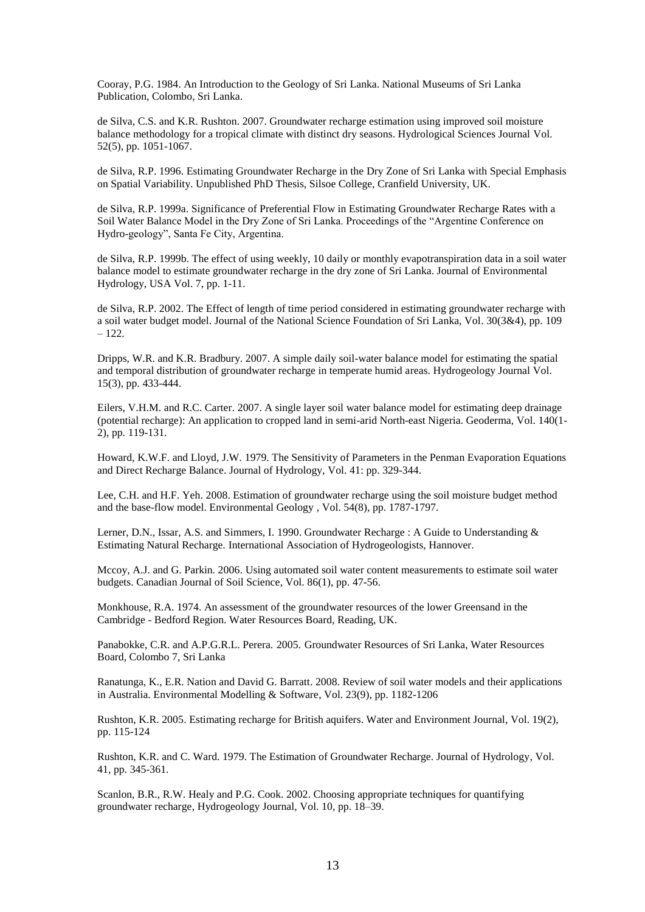Cooray, P.G. 1984. An Introduction to the Geology of Sri Lanka. National Museums of Sri Lanka Publication, Colombo, Sri Lanka.

de Silva, C.S. and K.R. Rushton. 2007. Groundwater recharge estimation using improved soil moisture balance methodology for a tropical climate with distinct dry seasons. Hydrological Sciences Journal Vol. 52(5), pp. 1051-1067.

de Silva, R.P. 1996. Estimating Groundwater Recharge in the Dry Zone of Sri Lanka with Special Emphasis on Spatial Variability. Unpublished PhD Thesis, Silsoe College, Cranfield University, UK.

de Silva, R.P. 1999a. Significance of Preferential Flow in Estimating Groundwater Recharge Rates with a Soil Water Balance Model in the Dry Zone of Sri Lanka. Proceedings of the "Argentine Conference on Hydro-geology", Santa Fe City, Argentina.

de Silva, R.P. 1999b. The effect of using weekly, 10 daily or monthly evapotranspiration data in a soil water balance model to estimate groundwater recharge in the dry zone of Sri Lanka. Journal of Environmental Hydrology, USA Vol. 7, pp. 1-11.

de Silva, R.P. 2002. The Effect of length of time period considered in estimating groundwater recharge with a soil water budget model. Journal of the National Science Foundation of Sri Lanka, Vol. 30(3&4), pp. 109 – 122.

Dripps, W.R. and K.R. Bradbury. 2007. A simple daily soil-water balance model for estimating the spatial and temporal distribution of groundwater recharge in temperate humid areas. Hydrogeology Journal Vol. 15(3), pp. 433-444.

Eilers, V.H.M. and R.C. Carter. 2007. A single layer soil water balance model for estimating deep drainage (potential recharge): An application to cropped land in semi-arid North-east Nigeria. Geoderma, Vol. 140(1- 2), pp. 119-131.

Howard, K.W.F. and Lloyd, J.W. 1979. The Sensitivity of Parameters in the Penman Evaporation Equations and Direct Recharge Balance. Journal of Hydrology, Vol. 41: pp. 329-344.

Lee, C.H. and H.F. Yeh. 2008. Estimation of groundwater recharge using the soil moisture budget method and the base-flow model. Environmental Geology , Vol. 54(8), pp. 1787-1797.

Lerner, D.N., Issar, A.S. and Simmers, I. 1990. Groundwater Recharge : A Guide to Understanding & Estimating Natural Recharge. International Association of Hydrogeologists, Hannover.

Mccoy, A.J. and G. Parkin. 2006. Using automated soil water content measurements to estimate soil water budgets. Canadian Journal of Soil Science, Vol. 86(1), pp. 47-56.

Monkhouse, R.A. 1974. An assessment of the groundwater resources of the lower Greensand in the Cambridge - Bedford Region. Water Resources Board, Reading, UK.

Panabokke, C.R. and A.P.G.R.L. Perera. 2005. Groundwater Resources of Sri Lanka, Water Resources Board, Colombo 7, Sri Lanka

Ranatunga, K., E.R. Nation and David G. Barratt. 2008. Review of soil water models and their applications in Australia. Environmental Modelling & Software, Vol. 23(9), pp. 1182-1206

Rushton, K.R. 2005. Estimating recharge for British aquifers. Water and Environment Journal, Vol. 19(2), pp. 115-124

Rushton, K.R. and C. Ward. 1979. The Estimation of Groundwater Recharge. Journal of Hydrology, Vol. 41, pp. 345-361.

Scanlon, B.R., R.W. Healy and P.G. Cook. 2002. Choosing appropriate techniques for quantifying groundwater recharge, Hydrogeology Journal, Vol. 10, pp. 18–39.